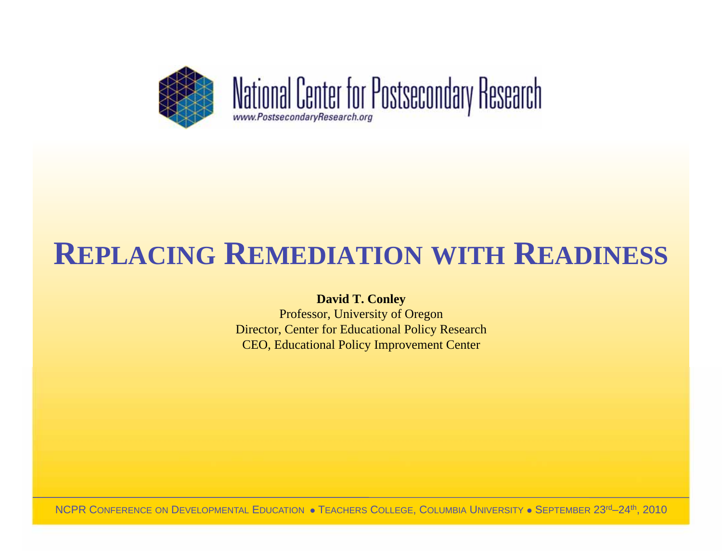

### **REPLACING REMEDIATION WITH READINESS**

#### **David T. Conley**

Professor, University of Oregon Director, Center for Educational Policy Research CEO, Educational Policy Improvement Center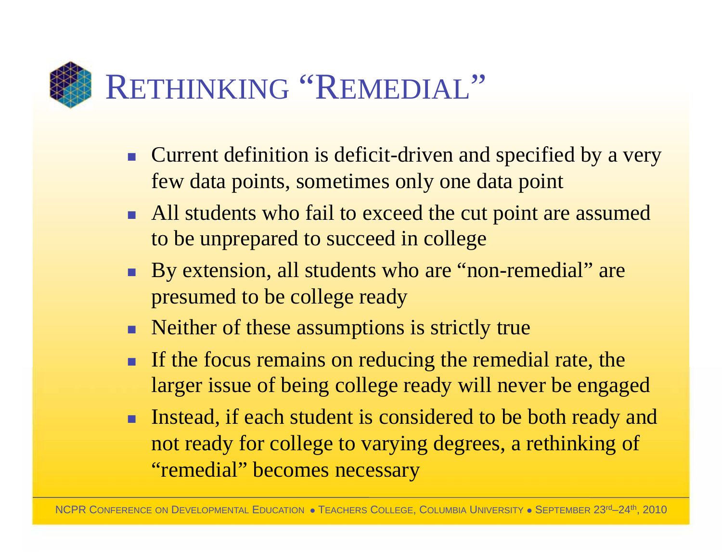

- **EXTED Current definition is deficit-driven and specified by a very** few data points, sometimes only one data point
- **EXTERM** All students who fail to exceed the cut point are assumed to be unprepared to succeed in college
- **By extension, all students who are "non-remedial" are** presumed to be college ready
- Neither of these assumptions is strictly true
- **If the focus remains on reducing the remedial rate, the** larger issue of being college ready will never be engaged
- **Instead, if each student is considered to be both ready and** not ready for college to varying degrees, a rethinking of "remedial" becomes necessary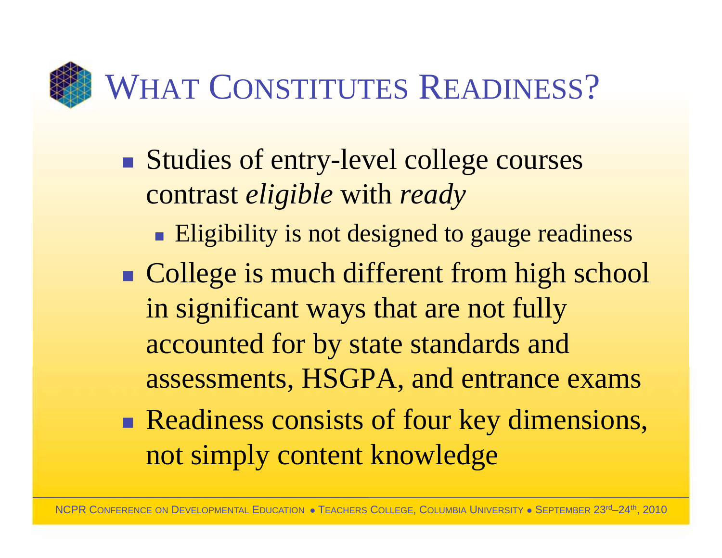# WHAT CONSTITUTES READINESS?

- $\mathcal{L}_{\mathcal{A}}$ Studies of entry-level college courses contrast *eligible* with *ready*
	- **Eligibility is not designed to gauge readiness**
- -**College is much different from high school** in significant ways that are not fully accounted for by state standards and assessments, HSGPA, and entrance exams
- -Readiness consists of four key dimensions, not simply content knowledge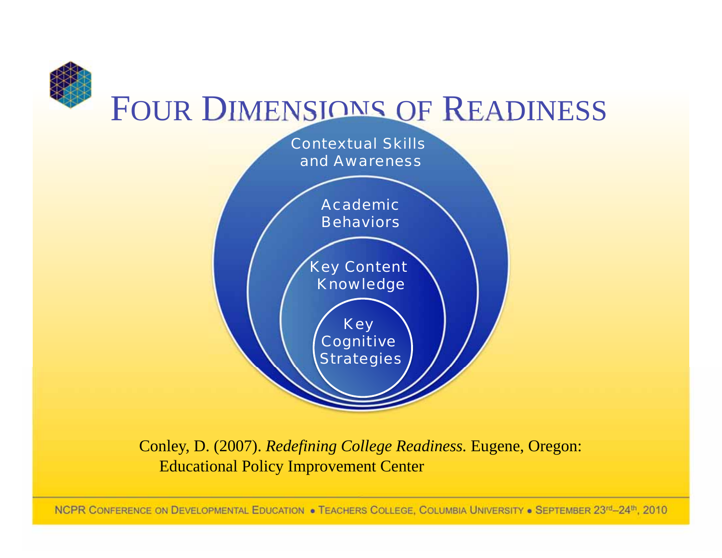

Conley, D. (2007). *Redefining College Readiness.* Eugene, Oregon: Educational Policy Improvement Center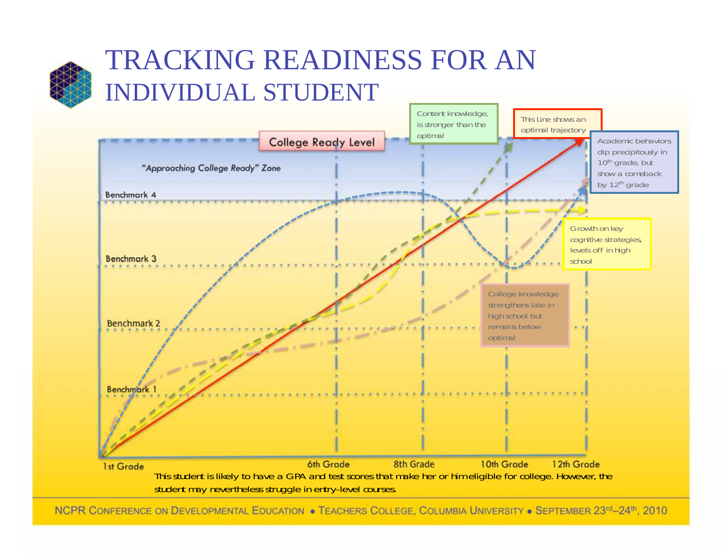

#### TRACKING READINESS FOR AN INDIVIDUAL STUDENT

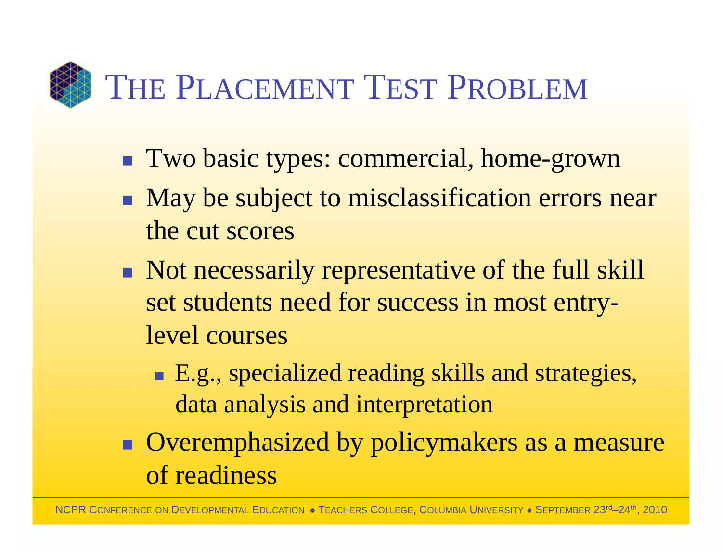### THE PLACEMENT TEST PROBLEM

- **Two basic types: commercial, home-grown**
- **If** May be subject to misclassification errors near the cut scores
- Not necessarily representative of the full skill set students need for success in most entrylevel courses
	- E.g., specialized reading skills and strategies, data analysis and interpretation
- **E** Overemphasized by policymakers as a measure of readiness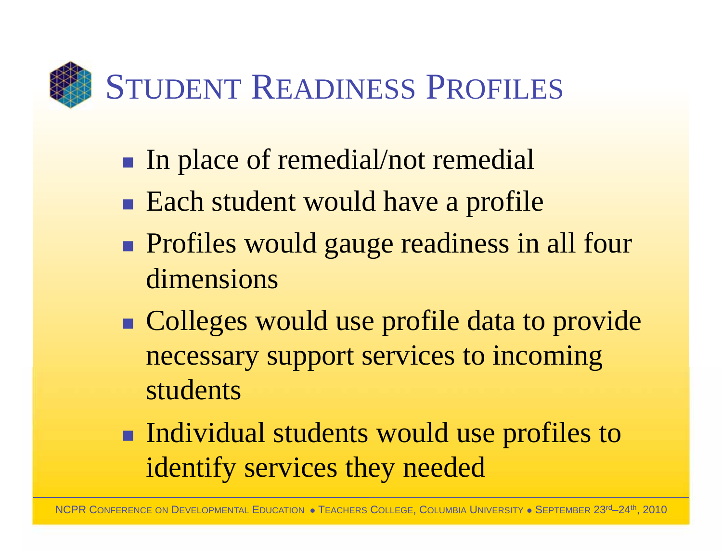# STUDENT READINESS PROFILES

- $\mathcal{L}_{\mathcal{A}}$ In place of remedial/not remedial
- -**Each student would have a profile**
- -**Profiles would gauge readiness in all four** dimensions
- -**Colleges would use profile data to provide** necessary support services to incoming students
- -**Individual students would use profiles to** identify services they needed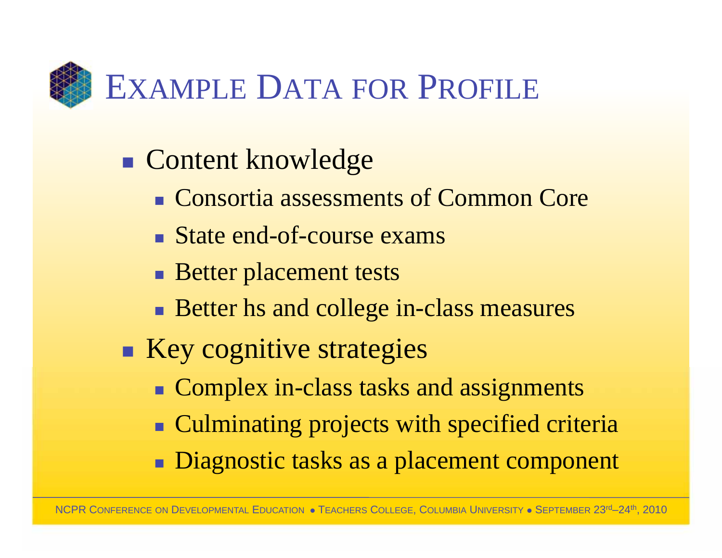

- $\mathcal{L}_{\mathcal{A}}$ **Content knowledge** 
	- Consortia assessments of Common Core
	- State end-of-course exams
	- **Better placement tests**
	- **Better hs and college in-class measures**
- -**Key cognitive strategies** 
	- **Complex in-class tasks and assignments**
	- **Culminating projects with specified criteria**
	- **Diagnostic tasks as a placement component**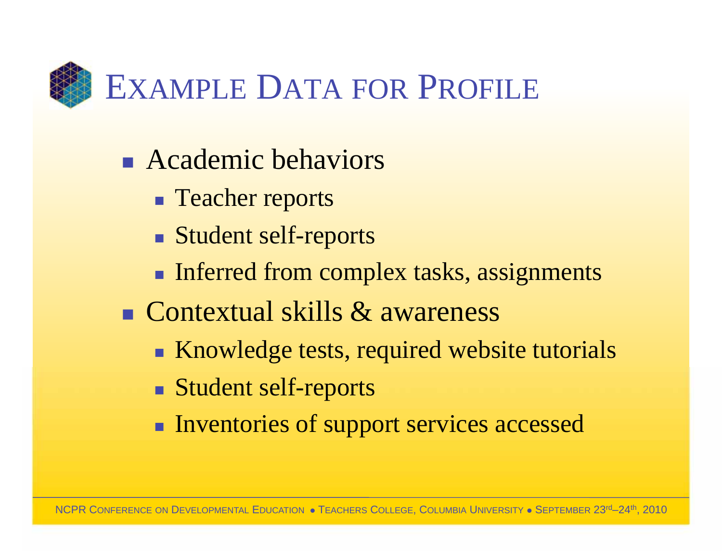

- **Exercice Academic behaviors** 
	- **Teacher reports**
	- Student self-reports
	- **Inferred from complex tasks, assignments**
- Contextual skills & awareness
	- **K**nowledge tests, required website tutorials
	- Student self-reports
	- **Inventories of support services accessed**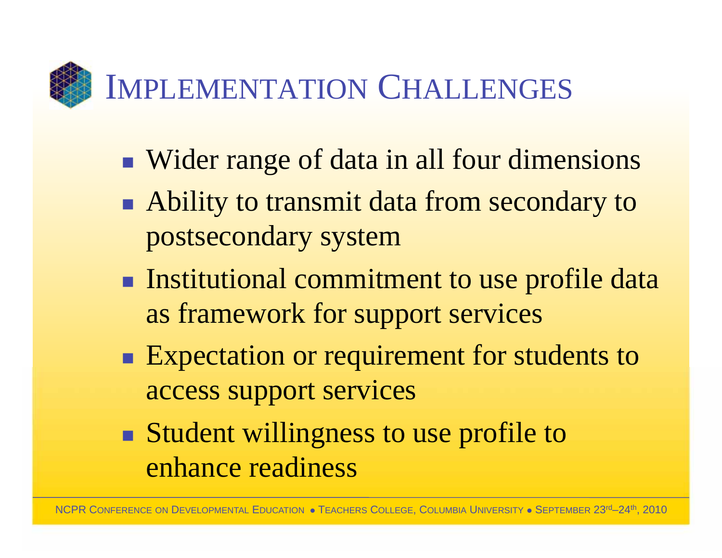IMPLEMENTATION CHALLENGES

- $\mathcal{L}_{\mathcal{A}}$ ■ Wider range of data in all four dimensions
- -**Ability to transmit data from secondary to** postsecondary system
- -**Institutional commitment to use profile data** as framework for support services
- -**Expectation or requirement for students to** access support services
- -Student willingness to use profile to enhance readiness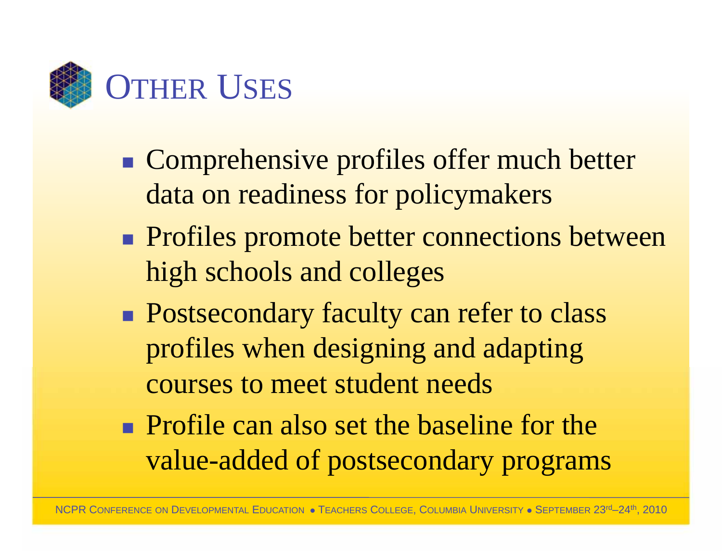

- $\mathcal{L}_{\mathcal{A}}$ **Comprehensive profiles offer much better** data on readiness for policymakers
- -**Profiles promote better connections between** high schools and colleges
- -**Postsecondary faculty can refer to class** profiles when designing and adapting courses to meet student needs
- **Profile can also set the baseline for the** value-added of postsecondary programs